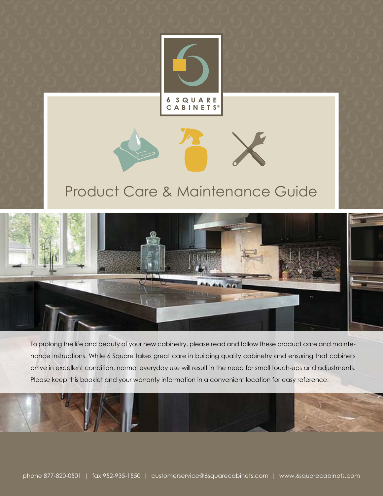

6 SQUARE<br>CABINETS®

# Product Care & Maintenance Guide



To prolong the life and beauty of your new cabinetry, please read and follow these product care and maintenance instructions. While 6 Square takes great care in building quality cabinetry and ensuring that cabinets arrive in excellent condition, normal everyday use will result in the need for small touch-ups and adjustments. Please keep this booklet and your warranty information in a convenient location for easy reference.

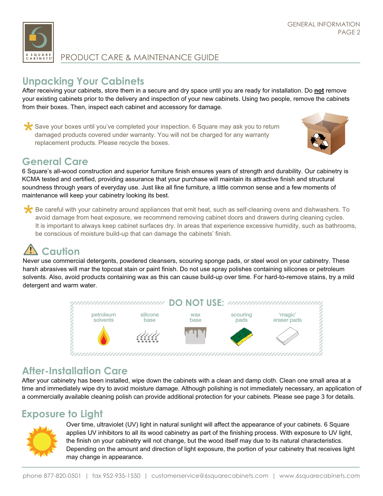

# **Unpacking Your Cabinets**

After receiving your cabinets, store them in a secure and dry space until you are ready for installation. Do **not** remove your existing cabinets prior to the delivery and inspection of your new cabinets. Using two people, remove the cabinets from their boxes. Then, inspect each cabinet and accessory for damage.

Save your boxes until you've completed your inspection. 6 Square may ask you to return damaged products covered under warranty. You will not be charged for any warranty replacement products. Please recycle the boxes.



# **General Care**

6 Square's all-wood construction and superior furniture finish ensures years of strength and durability. Our cabinetry is KCMA tested and certified, providing assurance that your purchase will maintain its attractive finish and structural soundness through years of everyday use. Just like all fine furniture, a little common sense and a few moments of maintenance will keep your cabinetry looking its best.

Be careful with your cabinetry around appliances that emit heat, such as self-cleaning ovens and dishwashers. To avoid damage from heat exposure, we recommend removing cabinet doors and drawers during cleaning cycles. It is important to always keep cabinet surfaces dry. In areas that experience excessive humidity, such as bathrooms, be conscious of moisture build-up that can damage the cabinets' finish.

**1. Caution**<br>Never use commercial detergents, powdered cleansers, scouring sponge pads, or steel wool on your cabinetry. These<br>harch abrasives will mar the tensort stain or paint finish. Do not use spray polishes containin harsh abrasives will mar the topcoat stain or paint finish. Do not use spray polishes containing silicones or petroleum solvents. Also, avoid products containing wax as this can cause build-up over time. For hard-to-remove stains, try a mild detergent and warm water.



# **After-Installation Care**

After your cabinetry has been installed, wipe down the cabinets with a clean and damp cloth. Clean one small area at a time and immediately wipe dry to avoid moisture damage. Although polishing is not immediately necessary, an application of a commercially available cleaning polish can provide additional protection for your cabinets. Please see page 3 for details.

# **Exposure to Light**



Over time, ultraviolet (UV) light in natural sunlight will affect the appearance of your cabinets. 6 Square applies UV inhibitors to all its wood cabinetry as part of the finishing process. With exposure to UV light, the finish on your cabinetry will not change, but the wood itself may due to its natural characteristics. Depending on the amount and direction of light exposure, the portion of your cabinetry that receives light may change in appearance.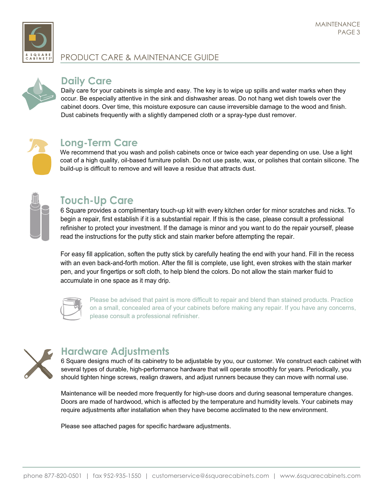



#### **Daily Care**

Daily care for your cabinets is simple and easy. The key is to wipe up spills and water marks when they occur. Be especially attentive in the sink and dishwasher areas. Do not hang wet dish towels over the cabinet doors. Over time, this moisture exposure can cause irreversible damage to the wood and finish. Dust cabinets frequently with a slightly dampened cloth or a spray-type dust remover.



# **Long-Term Care**

We recommend that you wash and polish cabinets once or twice each year depending on use. Use a light coat of a high quality, oil-based furniture polish. Do not use paste, wax, or polishes that contain silicone. The build-up is difficult to remove and will leave a residue that attracts dust.

# **Touch-Up Care**

6 Square provides a complimentary touch-up kit with every kitchen order for minor scratches and nicks. To begin a repair, first establish if it is a substantial repair. If this is the case, please consult a professional refinisher to protect your investment. If the damage is minor and you want to do the repair yourself, please read the instructions for the putty stick and stain marker before attempting the repair.

For easy fill application, soften the putty stick by carefully heating the end with your hand. Fill in the recess with an even back-and-forth motion. After the fill is complete, use light, even strokes with the stain marker pen, and your fingertips or soft cloth, to help blend the colors. Do not allow the stain marker fluid to accumulate in one space as it may drip.



Please be advised that paint is more difficult to repair and blend than stained products. Practice on a small, concealed area of your cabinets before making any repair. If you have any concerns, please consult a professional refinisher.



# **Hardware Adjustments**

6 Square designs much of its cabinetry to be adjustable by you, our customer. We construct each cabinet with several types of durable, high-performance hardware that will operate smoothly for years. Periodically, you should tighten hinge screws, realign drawers, and adjust runners because they can move with normal use.

Maintenance will be needed more frequently for high-use doors and during seasonal temperature changes. Doors are made of hardwood, which is affected by the temperature and humidity levels. Your cabinets may require adjustments after installation when they have become acclimated to the new environment.

Please see attached pages for specific hardware adjustments.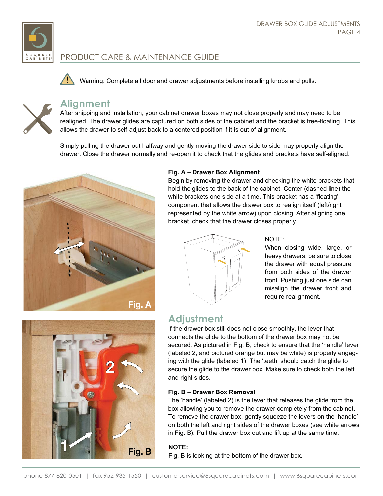

Warning: Complete all door and drawer adjustments before installing knobs and pulls.



#### **Alignment**

After shipping and installation, your cabinet drawer boxes may not close properly and may need to be realigned. The drawer glides are captured on both sides of the cabinet and the bracket is free-floating. This allows the drawer to self-adjust back to a centered position if it is out of alignment.

Simply pulling the drawer out halfway and gently moving the drawer side to side may properly align the drawer. Close the drawer normally and re-open it to check that the glides and brackets have self-aligned.



#### **Fig. A – Drawer Box Alignment**

Begin by removing the drawer and checking the white brackets that hold the glides to the back of the cabinet. Center (dashed line) the white brackets one side at a time. This bracket has a 'floating' component that allows the drawer box to realign itself (left/right represented by the white arrow) upon closing. After aligning one bracket, check that the drawer closes properly.



#### NOTE:

When closing wide, large, or heavy drawers, be sure to close the drawer with equal pressure from both sides of the drawer front. Pushing just one side can misalign the drawer front and require realignment.



## **Adjustment**

If the drawer box still does not close smoothly, the lever that connects the glide to the bottom of the drawer box may not be secured. As pictured in Fig. B, check to ensure that the 'handle' lever (labeled 2, and pictured orange but may be white) is properly engaging with the glide (labeled 1). The 'teeth' should catch the glide to secure the glide to the drawer box. Make sure to check both the left and right sides.

#### **Fig. B – Drawer Box Removal**

The 'handle' (labeled 2) is the lever that releases the glide from the box allowing you to remove the drawer completely from the cabinet. To remove the drawer box, gently squeeze the levers on the 'handle' on both the left and right sides of the drawer boxes (see white arrows in Fig. B). Pull the drawer box out and lift up at the same time.

#### **NOTE:**

Fig. B is looking at the bottom of the drawer box.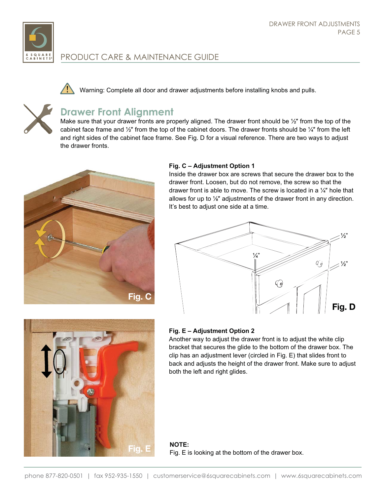

Warning: Complete all door and drawer adjustments before installing knobs and pulls.



# **Drawer Front Alignment**

Make sure that your drawer fronts are properly aligned. The drawer front should be  $\mathcal{V}$  from the top of the cabinet face frame and  $\frac{1}{2}$ " from the top of the cabinet doors. The drawer fronts should be  $\frac{1}{4}$ " from the left and right sides of the cabinet face frame. See Fig. D for a visual reference. There are two ways to adjust the drawer fronts.



#### **Fig. C – Adjustment Option 1**

Inside the drawer box are screws that secure the drawer box to the drawer front. Loosen, but do not remove, the screw so that the drawer front is able to move. The screw is located in a  $\frac{1}{4}$ " hole that allows for up to  $\frac{1}{8}$ " adjustments of the drawer front in any direction. It's best to adjust one side at a time.





#### **Fig. E – Adjustment Option 2**

Another way to adjust the drawer front is to adjust the white clip bracket that secures the glide to the bottom of the drawer box. The clip has an adjustment lever (circled in Fig. E) that slides front to back and adjusts the height of the drawer front. Make sure to adjust both the left and right glides.

**NOTE:** Fig. E **intereface is looking at the bottom of the drawer box.**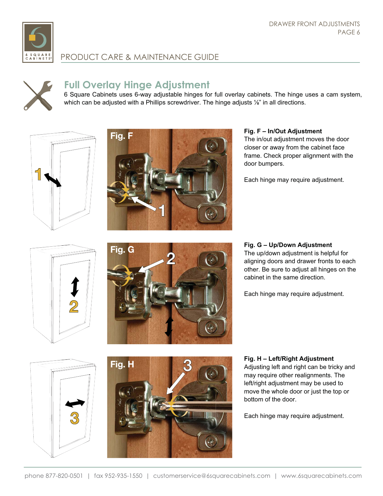



#### **Full Overlay Hinge Adjustment**

6 Square Cabinets uses 6-way adjustable hinges for full overlay cabinets. The hinge uses a cam system, which can be adjusted with a Phillips screwdriver. The hinge adjusts  $\mathcal{V}_{\mathbf{s}}$  in all directions.





#### **Fig. F – In/Out Adjustment**

The in/out adjustment moves the door closer or away from the cabinet face frame. Check proper alignment with the door bumpers.

Each hinge may require adjustment.





#### **Fig. G – Up/Down Adjustment**

The up/down adjustment is helpful for aligning doors and drawer fronts to each other. Be sure to adjust all hinges on the cabinet in the same direction.

Each hinge may require adjustment.





**Fig. H – Left/Right Adjustment** Adjusting left and right can be tricky and may require other realignments. The left/right adjustment may be used to move the whole door or just the top or bottom of the door.

Each hinge may require adjustment.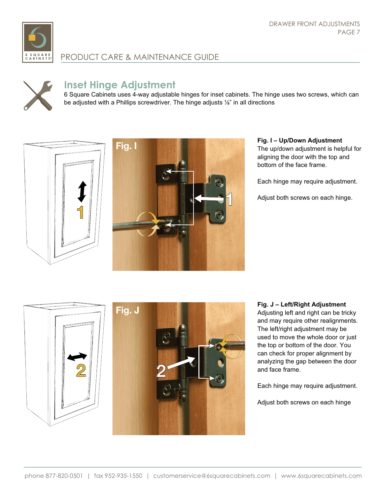



# **Inset Hinge Adjustment**

6 Square Cabinets uses 4-way adjustable hinges for inset cabinets. The hinge uses two screws, which can be adjusted with a Phillips screwdriver. The hinge adjusts  $\frac{1}{6}$  in all directions





#### **Fig. I – Up/Down Adjustment** The up/down adjustment is helpful for aligning the door with the top and bottom of the face frame.

Each hinge may require adjustment.

Adjust both screws on each hinge.



**Fig. J – Left/Right Adjustment** Adjusting left and right can be tricky and may require other realignments. The left/right adjustment may be used to move the whole door or just the top or bottom of the door. You can check for proper alignment by analyzing the gap between the door and face frame.

Each hinge may require adjustment.

Adjust both screws on each hinge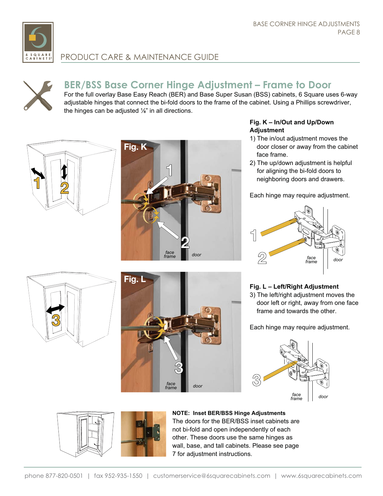

# **BER/BSS Base Corner Hinge Adjustment – Frame to Door**

For the full overlay Base Easy Reach (BER) and Base Super Susan (BSS) cabinets, 6 Square uses 6-way adjustable hinges that connect the bi-fold doors to the frame of the cabinet. Using a Phillips screwdriver, the hinges can be adjusted  $\frac{1}{6}$  in all directions.





#### **Fig. K – In/Out and Up/Down Adjustment**

- 1) The in/out adjustment moves the door closer or away from the cabinet face frame.
- 2) The up/down adjustment is helpful for aligning the bi-fold doors to neighboring doors and drawers.

Each hinge may require adjustment.



# **3**



#### **Fig. L – Left/Right Adjustment**

3) The left/right adjustment moves the door left or right, away from one face frame and towards the other.

Each hinge may require adjustment.





**NOTE: Inset BER/BSS Hinge Adjustments** The doors for the BER/BSS inset cabinets are not bi-fold and open independently of each other. These doors use the same hinges as wall, base, and tall cabinets. Please see page 7 for adjustment instructions.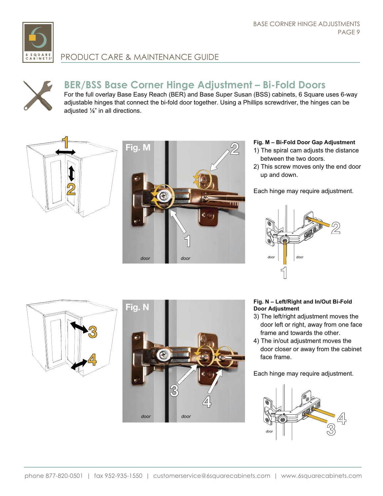



# **BER/BSS Base Corner Hinge Adjustment – Bi-Fold Doors**

For the full overlay Base Easy Reach (BER) and Base Super Susan (BSS) cabinets, 6 Square uses 6-way adjustable hinges that connect the bi-fold door together. Using a Phillips screwdriver, the hinges can be adjusted  $\%$ " in all directions.





#### **Fig. M – Bi-Fold Door Gap Adjustment**

- 1) The spiral cam adjusts the distance between the two doors.
- 2) This screw moves only the end door up and down.

Each hinge may require adjustment.



# **3 4**



#### **Fig. N – Left/Right and In/Out Bi-Fold Door Adjustment**

- 3) The left/right adjustment moves the door left or right, away from one face frame and towards the other.
- 4) The in/out adjustment moves the door closer or away from the cabinet face frame.

Each hinge may require adjustment.